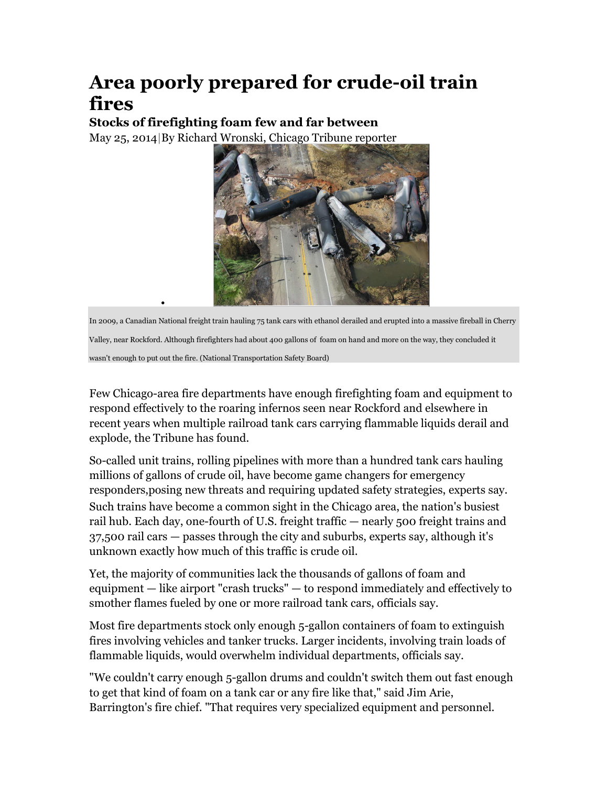## **Area poorly prepared for crude-oil train fires**

**Stocks of firefighting foam few and far between** 

•

May 25, 2014|By Richard Wronski, Chicago Tribune reporter



In 2009, a Canadian National freight train hauling 75 tank cars with ethanol derailed and erupted into a massive fireball in Cherry Valley, near Rockford. Although firefighters had about 400 gallons of foam on hand and more on the way, they concluded it wasn't enough to put out the fire. (National Transportation Safety Board)

Few Chicago-area fire departments have enough firefighting foam and equipment to respond effectively to the roaring infernos seen near Rockford and elsewhere in recent years when multiple railroad tank cars carrying flammable liquids derail and explode, the Tribune has found.

So-called unit trains, rolling pipelines with more than a hundred tank cars hauling millions of gallons of crude oil, have become game changers for emergency responders,posing new threats and requiring updated safety strategies, experts say. Such trains have become a common sight in the Chicago area, the nation's busiest rail hub. Each day, one-fourth of U.S. freight traffic — nearly 500 freight trains and 37,500 rail cars — passes through the city and suburbs, experts say, although it's unknown exactly how much of this traffic is crude oil.

Yet, the majority of communities lack the thousands of gallons of foam and equipment — like airport "crash trucks" — to respond immediately and effectively to smother flames fueled by one or more railroad tank cars, officials say.

Most fire departments stock only enough 5-gallon containers of foam to extinguish fires involving vehicles and tanker trucks. Larger incidents, involving train loads of flammable liquids, would overwhelm individual departments, officials say.

"We couldn't carry enough 5-gallon drums and couldn't switch them out fast enough to get that kind of foam on a tank car or any fire like that," said Jim Arie, Barrington's fire chief. "That requires very specialized equipment and personnel.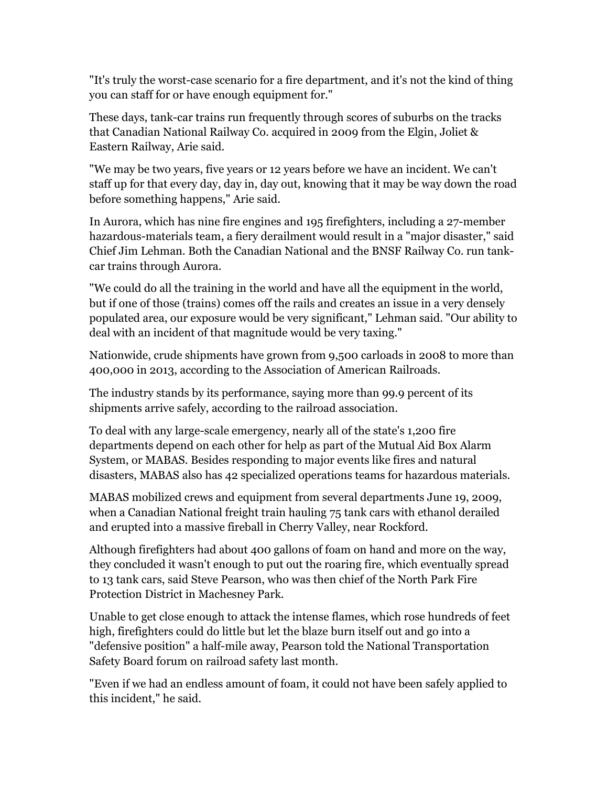"It's truly the worst-case scenario for a fire department, and it's not the kind of thing you can staff for or have enough equipment for."

These days, tank-car trains run frequently through scores of suburbs on the tracks that Canadian National Railway Co. acquired in 2009 from the Elgin, Joliet & Eastern Railway, Arie said.

"We may be two years, five years or 12 years before we have an incident. We can't staff up for that every day, day in, day out, knowing that it may be way down the road before something happens," Arie said.

In Aurora, which has nine fire engines and 195 firefighters, including a 27-member hazardous-materials team, a fiery derailment would result in a "major disaster," said Chief Jim Lehman. Both the Canadian National and the BNSF Railway Co. run tankcar trains through Aurora.

"We could do all the training in the world and have all the equipment in the world, but if one of those (trains) comes off the rails and creates an issue in a very densely populated area, our exposure would be very significant," Lehman said. "Our ability to deal with an incident of that magnitude would be very taxing."

Nationwide, crude shipments have grown from 9,500 carloads in 2008 to more than 400,000 in 2013, according to the Association of American Railroads.

The industry stands by its performance, saying more than 99.9 percent of its shipments arrive safely, according to the railroad association.

To deal with any large-scale emergency, nearly all of the state's 1,200 fire departments depend on each other for help as part of the Mutual Aid Box Alarm System, or MABAS. Besides responding to major events like fires and natural disasters, MABAS also has 42 specialized operations teams for hazardous materials.

MABAS mobilized crews and equipment from several departments June 19, 2009, when a Canadian National freight train hauling 75 tank cars with ethanol derailed and erupted into a massive fireball in Cherry Valley, near Rockford.

Although firefighters had about 400 gallons of foam on hand and more on the way, they concluded it wasn't enough to put out the roaring fire, which eventually spread to 13 tank cars, said Steve Pearson, who was then chief of the North Park Fire Protection District in Machesney Park.

Unable to get close enough to attack the intense flames, which rose hundreds of feet high, firefighters could do little but let the blaze burn itself out and go into a "defensive position" a half-mile away, Pearson told the National Transportation Safety Board forum on railroad safety last month.

"Even if we had an endless amount of foam, it could not have been safely applied to this incident," he said.